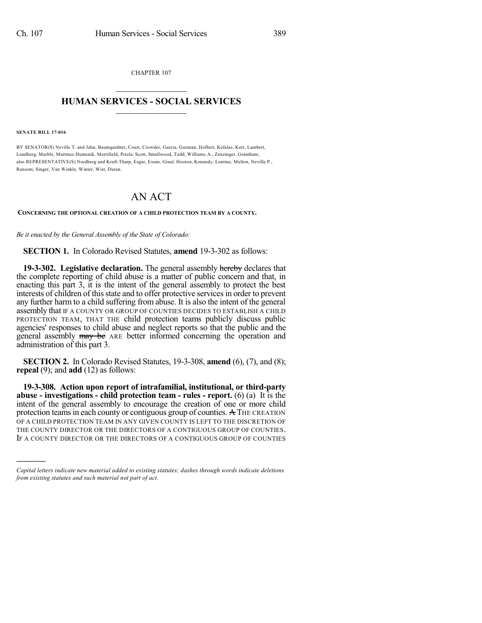CHAPTER 107  $\mathcal{L}_\text{max}$  . The set of the set of the set of the set of the set of the set of the set of the set of the set of the set of the set of the set of the set of the set of the set of the set of the set of the set of the set

## **HUMAN SERVICES - SOCIAL SERVICES**  $\frac{1}{2}$  ,  $\frac{1}{2}$  ,  $\frac{1}{2}$  ,  $\frac{1}{2}$  ,  $\frac{1}{2}$  ,  $\frac{1}{2}$

**SENATE BILL 17-016**

)))))

BY SENATOR(S) Neville T. and Jahn, Baumgardner, Court, Crowder, Garcia, Guzman, Holbert, Kefalas, Kerr, Lambert, Lundberg, Marble, Martinez Humenik, Merrifield, Priola, Scott, Smallwood, Todd, Williams A., Zenzinger, Grantham; also REPRESENTATIVE(S) Nordberg and Kraft-Tharp, Esgar, Exum, Ginal, Hooton, Kennedy, Lontine, Melton, Neville P., Ransom, Singer, Van Winkle, Winter, Wist, Duran.

## AN ACT

## **CONCERNING THE OPTIONAL CREATION OF A CHILD PROTECTION TEAM BY A COUNTY.**

*Be it enacted by the General Assembly of the State of Colorado:*

**SECTION 1.** In Colorado Revised Statutes, **amend** 19-3-302 as follows:

**19-3-302. Legislative declaration.** The general assembly hereby declares that the complete reporting of child abuse is a matter of public concern and that, in enacting this part 3, it is the intent of the general assembly to protect the best interests of children of this state and to offer protective services in order to prevent any further harm to a child suffering from abuse. It is also the intent of the general assembly that IF A COUNTY OR GROUP OF COUNTIES DECIDES TO ESTABLISH A CHILD PROTECTION TEAM, THAT THE child protection teams publicly discuss public agencies' responses to child abuse and neglect reports so that the public and the general assembly may be ARE better informed concerning the operation and administration of this part 3.

**SECTION 2.** In Colorado Revised Statutes, 19-3-308, **amend** (6), (7), and (8); **repeal** (9); and **add** (12) as follows:

**19-3-308. Action upon report of intrafamilial, institutional, or third-party abuse - investigations - child protection team - rules - report.** (6) (a) It is the intent of the general assembly to encourage the creation of one or more child protection teamsin each county or contiguous group of counties. A THE CREATION OF A CHILD PROTECTION TEAM IN ANY GIVEN COUNTY IS LEFT TO THE DISCRETION OF THE COUNTY DIRECTOR OR THE DIRECTORS OF A CONTIGUOUS GROUP OF COUNTIES. IF A COUNTY DIRECTOR OR THE DIRECTORS OF A CONTIGUOUS GROUP OF COUNTIES

*Capital letters indicate new material added to existing statutes; dashes through words indicate deletions from existing statutes and such material not part of act.*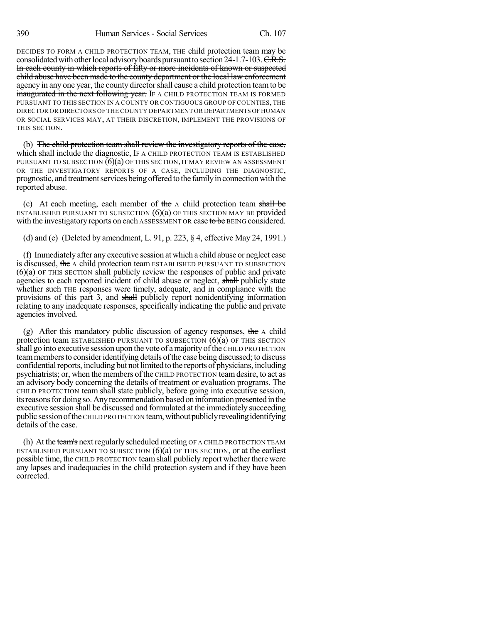DECIDES TO FORM A CHILD PROTECTION TEAM, THE child protection team may be consolidated with other local advisory boards pursuant to section  $24$ -1.7-103. C.R.S. In each county in which reports of fifty or more incidents of known or suspected child abuse have been made to the county department or the local law enforcement agency in any one year, the county director shall cause a child protection team to be **inaugurated in the next following year.** If A CHILD PROTECTION TEAM IS FORMED PURSUANT TO THIS SECTION IN A COUNTY OR CONTIGUOUS GROUP OF COUNTIES, THE DIRECTOR OR DIRECTORS OF THE COUNTY DEPARTMENT OR DEPARTMENTS OFHUMAN OR SOCIAL SERVICES MAY, AT THEIR DISCRETION, IMPLEMENT THE PROVISIONS OF THIS SECTION.

(b) The child protection team shall review the investigatory reports of the case, which shall include the diagnostic, IF A CHILD PROTECTION TEAM IS ESTABLISHED PURSUANT TO SUBSECTION  $(6)(a)$  of this section, it may review an assessment OR THE INVESTIGATORY REPORTS OF A CASE, INCLUDING THE DIAGNOSTIC, prognostic, and treatment services being offered to the family in connection with the reported abuse.

(c) At each meeting, each member of the  $\Lambda$  child protection team shall be ESTABLISHED PURSUANT TO SUBSECTION  $(6)(a)$  OF THIS SECTION MAY BE provided with the investigatory reports on each ASSESSMENT OR case to be BEING considered.

(d) and (e) (Deleted by amendment, L. 91, p. 223, § 4, effective May 24, 1991.)

(f) Immediately after any executive session atwhich a child abuse or neglect case is discussed, the A child protection team ESTABLISHED PURSUANT TO SUBSECTION (6)(a) OF THIS SECTION shall publicly review the responses of public and private agencies to each reported incident of child abuse or neglect, shall publicly state whether such THE responses were timely, adequate, and in compliance with the provisions of this part 3, and shall publicly report nonidentifying information relating to any inadequate responses, specifically indicating the public and private agencies involved.

(g) After this mandatory public discussion of agency responses, the  $\Lambda$  child protection team ESTABLISHED PURSUANT TO SUBSECTION  $(6)(a)$  OF THIS SECTION shall go into executive session upon the vote of a majority of the CHILD PROTECTION team members to consider identifying details of the case being discussed; to discuss confidential reports, including but not limited to the reports of physicians, including psychiatrists; or, when the members ofthe CHILD PROTECTION teamdesire, to act as an advisory body concerning the details of treatment or evaluation programs. The CHILD PROTECTION team shall state publicly, before going into executive session, its reasons for doing so. Any recommendation based on information presented in the executive session shall be discussed and formulated at the immediately succeeding public sessionofthe CHILD PROTECTION team,withoutpubliclyrevealingidentifying details of the case.

(h) At the team's next regularly scheduled meeting OF A CHILD PROTECTION TEAM ESTABLISHED PURSUANT TO SUBSECTION  $(6)(a)$  OF THIS SECTION, or at the earliest possible time, the CHILD PROTECTION teamshall publicly report whether there were any lapses and inadequacies in the child protection system and if they have been corrected.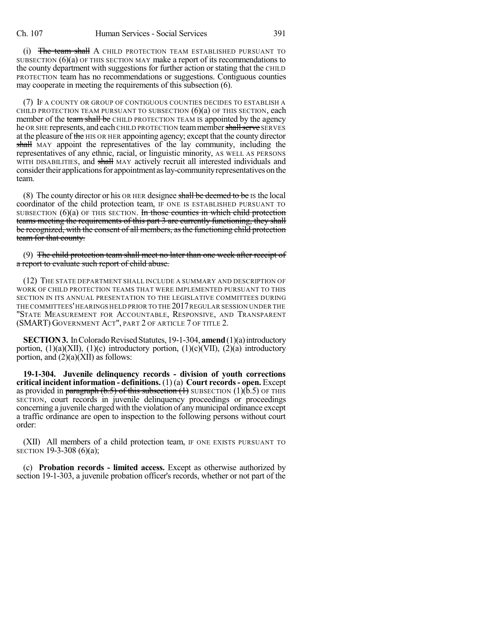(i) The team shall A CHILD PROTECTION TEAM ESTABLISHED PURSUANT TO SUBSECTION (6)(a) OF THIS SECTION MAY make a report of its recommendations to the county department with suggestions for further action or stating that the CHILD PROTECTION team has no recommendations or suggestions. Contiguous counties may cooperate in meeting the requirements of this subsection (6).

(7) IF A COUNTY OR GROUP OF CONTIGUOUS COUNTIES DECIDES TO ESTABLISH A CHILD PROTECTION TEAM PURSUANT TO SUBSECTION  $(6)(a)$  OF THIS SECTION, each member of the team shall be CHILD PROTECTION TEAM IS appointed by the agency he OR SHE represents, and each CHILD PROTECTION team member shall serve SERVES at the pleasure of the HIS OR HER appointing agency; except that the county director shall MAY appoint the representatives of the lay community, including the representatives of any ethnic, racial, or linguistic minority, AS WELL AS PERSONS WITH DISABILITIES, and shall MAY actively recruit all interested individuals and consider their applications for appointment as lay-community representatives on the team.

(8) The county director or his OR HER designee shall be deemed to be IS the local coordinator of the child protection team, IF ONE IS ESTABLISHED PURSUANT TO SUBSECTION  $(6)(a)$  OF THIS SECTION. In those counties in which child protection teams meeting the requirements of this part 3 are currently functioning, they shall be recognized, with the consent of all members, as the functioning child protection team for that county.

(9) The child protection team shall meet no later than one week after receipt of a report to evaluate such report of child abuse.

(12) THE STATE DEPARTMENT SHALL INCLUDE A SUMMARY AND DESCRIPTION OF WORK OF CHILD PROTECTION TEAMS THAT WERE IMPLEMENTED PURSUANT TO THIS SECTION IN ITS ANNUAL PRESENTATION TO THE LEGISLATIVE COMMITTEES DURING THE COMMITTEES'HEARINGS HELD PRIOR TO THE 2017REGULAR SESSION UNDER THE "STATE MEASUREMENT FOR ACCOUNTABLE, RESPONSIVE, AND TRANSPARENT (SMART) GOVERNMENT ACT", PART 2 OF ARTICLE 7 OF TITLE 2.

**SECTION 3.** In Colorado Revised Statutes, 19-1-304, **amend** (1)(a) introductory portion,  $(1)(a)$ (XII),  $(1)(c)$  introductory portion,  $(1)(c)$ (VII),  $(2)(a)$  introductory portion, and (2)(a)(XII) as follows:

**19-1-304. Juvenile delinquency records - division of youth corrections critical incident information - definitions.** (1) (a) **Court records- open.** Except as provided in paragraph (b.5) of this subsection  $(1)$  SUBSECTION  $(1)(\overline{b.5})$  OF THIS SECTION, court records in juvenile delinquency proceedings or proceedings concerning a juvenile charged with the violation of anymunicipal ordinance except a traffic ordinance are open to inspection to the following persons without court order:

(XII) All members of a child protection team, IF ONE EXISTS PURSUANT TO SECTION 19-3-308 (6)(a);

(c) **Probation records - limited access.** Except as otherwise authorized by section 19-1-303, a juvenile probation officer's records, whether or not part of the